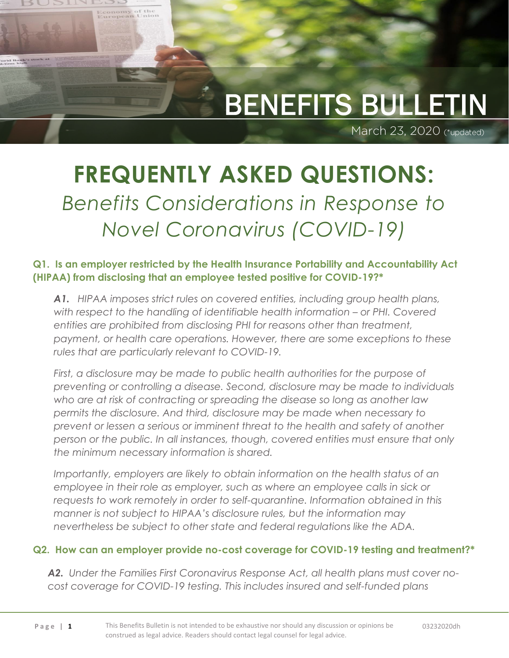## l BENEFITS BULLETIN

March 23, 2020 (\*updated)

# **FREQUENTLY ASKED QUESTIONS:** *Benefits Considerations in Response to Novel Coronavirus (COVID-19)*

Economy of the<br>European Union

d Bank'

**Q1. Is an employer restricted by the Health Insurance Portability and Accountability Act (HIPAA) from disclosing that an employee tested positive for COVID-19?\***

*A1. HIPAA imposes strict rules on covered entities, including group health plans, with respect to the handling of identifiable health information – or PHI. Covered entities are prohibited from disclosing PHI for reasons other than treatment, payment, or health care operations. However, there are some exceptions to these rules that are particularly relevant to COVID-19.* 

*First, a disclosure may be made to public health authorities for the purpose of preventing or controlling a disease. Second, disclosure may be made to individuals who are at risk of contracting or spreading the disease so long as another law permits the disclosure. And third, disclosure may be made when necessary to prevent or lessen a serious or imminent threat to the health and safety of another person or the public. In all instances, though, covered entities must ensure that only the minimum necessary information is shared.*

*Importantly, employers are likely to obtain information on the health status of an employee in their role as employer, such as where an employee calls in sick or requests to work remotely in order to self-quarantine. Information obtained in this manner is not subject to HIPAA's disclosure rules, but the information may nevertheless be subject to other state and federal regulations like the ADA.*

#### **Q2. How can an employer provide no-cost coverage for COVID-19 testing and treatment?\***

*A2. Under the Families First Coronavirus Response Act, all health plans must cover nocost coverage for COVID-19 testing. This includes insured and self-funded plans*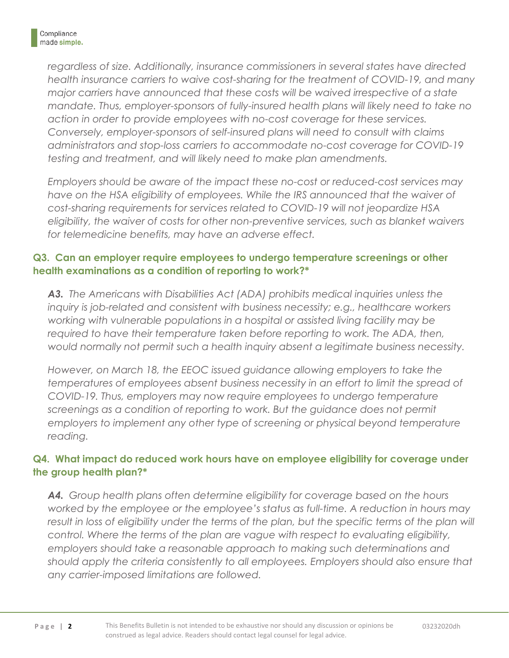*regardless of size. Additionally, insurance commissioners in several states have directed health insurance carriers to waive cost-sharing for the treatment of COVID-19, and many major carriers have announced that these costs will be waived irrespective of a state mandate. Thus, employer-sponsors of fully-insured health plans will likely need to take no action in order to provide employees with no-cost coverage for these services. Conversely, employer-sponsors of self-insured plans will need to consult with claims administrators and stop-loss carriers to accommodate no-cost coverage for COVID-19 testing and treatment, and will likely need to make plan amendments.*

*Employers should be aware of the impact these no-cost or reduced-cost services may have on the HSA eligibility of employees. While the IRS announced that the waiver of cost-sharing requirements for services related to COVID-19 will not jeopardize HSA eligibility, the waiver of costs for other non-preventive services, such as blanket waivers for telemedicine benefits, may have an adverse effect.*

#### **Q3. Can an employer require employees to undergo temperature screenings or other health examinations as a condition of reporting to work?\***

*A3. The Americans with Disabilities Act (ADA) prohibits medical inquiries unless the inquiry is job-related and consistent with business necessity; e.g., healthcare workers working with vulnerable populations in a hospital or assisted living facility may be*  required to have their temperature taken before reporting to work. The ADA, then, *would normally not permit such a health inquiry absent a legitimate business necessity.* 

*However, on March 18, the EEOC issued guidance allowing employers to take the temperatures of employees absent business necessity in an effort to limit the spread of COVID-19. Thus, employers may now require employees to undergo temperature screenings as a condition of reporting to work. But the guidance does not permit employers to implement any other type of screening or physical beyond temperature reading.* 

#### **Q4. What impact do reduced work hours have on employee eligibility for coverage under the group health plan?\***

*A4. Group health plans often determine eligibility for coverage based on the hours worked by the employee or the employee's status as full-time. A reduction in hours may*  result in loss of eligibility under the terms of the plan, but the specific terms of the plan will *control. Where the terms of the plan are vague with respect to evaluating eligibility, employers should take a reasonable approach to making such determinations and should apply the criteria consistently to all employees. Employers should also ensure that any carrier-imposed limitations are followed.*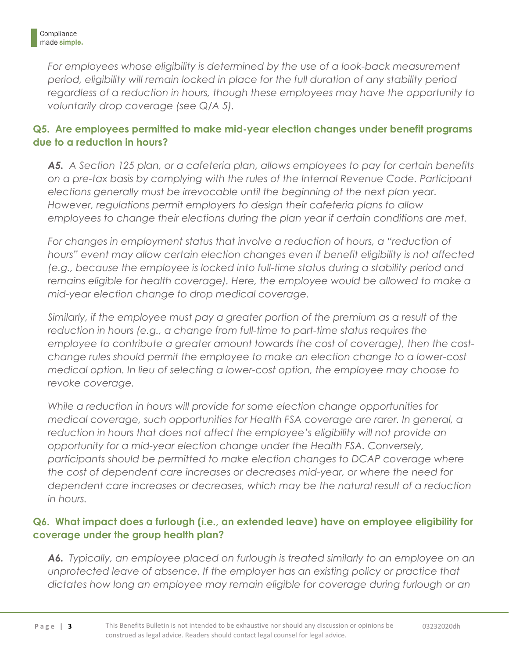For employees whose eligibility is determined by the use of a look-back measurement *period, eligibility will remain locked in place for the full duration of any stability period*  regardless of a reduction in hours, though these employees may have the opportunity to *voluntarily drop coverage (see Q/A 5).*

#### **Q5. Are employees permitted to make mid-year election changes under benefit programs due to a reduction in hours?**

*A5. A Section 125 plan, or a cafeteria plan, allows employees to pay for certain benefits on a pre-tax basis by complying with the rules of the Internal Revenue Code. Participant elections generally must be irrevocable until the beginning of the next plan year. However, regulations permit employers to design their cafeteria plans to allow employees to change their elections during the plan year if certain conditions are met.* 

For changes in employment status that involve a reduction of hours, a "reduction of *hours" event may allow certain election changes even if benefit eligibility is not affected (e.g., because the employee is locked into full-time status during a stability period and*  remains eligible for health coverage). Here, the employee would be allowed to make a *mid-year election change to drop medical coverage.*

*Similarly, if the employee must pay a greater portion of the premium as a result of the reduction in hours (e.g., a change from full-time to part-time status requires the employee to contribute a greater amount towards the cost of coverage), then the costchange rules should permit the employee to make an election change to a lower-cost medical option. In lieu of selecting a lower-cost option, the employee may choose to revoke coverage.*

*While a reduction in hours will provide for some election change opportunities for medical coverage, such opportunities for Health FSA coverage are rarer. In general, a reduction in hours that does not affect the employee's eligibility will not provide an opportunity for a mid-year election change under the Health FSA. Conversely,*  participants should be permitted to make election changes to DCAP coverage where *the cost of dependent care increases or decreases mid-year, or where the need for dependent care increases or decreases, which may be the natural result of a reduction in hours.*

#### **Q6. What impact does a furlough (i.e., an extended leave) have on employee eligibility for coverage under the group health plan?**

*A6. Typically, an employee placed on furlough is treated similarly to an employee on an unprotected leave of absence. If the employer has an existing policy or practice that*  dictates how long an employee may remain eligible for coverage during furlough or an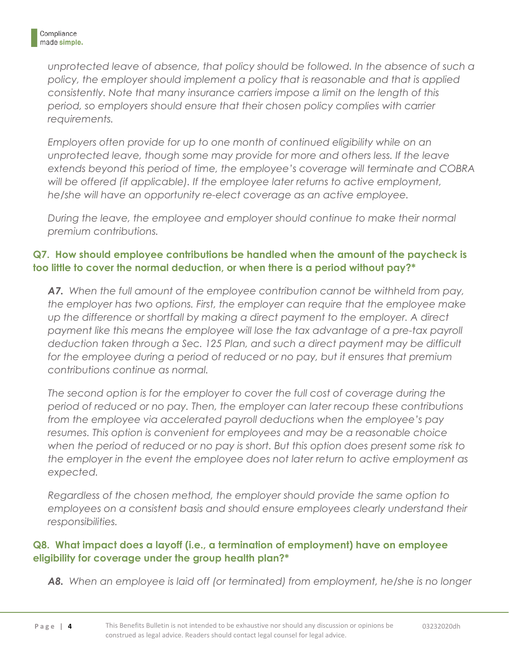*unprotected leave of absence, that policy should be followed. In the absence of such a policy, the employer should implement a policy that is reasonable and that is applied consistently. Note that many insurance carriers impose a limit on the length of this period, so employers should ensure that their chosen policy complies with carrier requirements.*

*Employers often provide for up to one month of continued eligibility while on an unprotected leave, though some may provide for more and others less. If the leave extends beyond this period of time, the employee's coverage will terminate and COBRA will be offered (if applicable). If the employee later returns to active employment, he/she will have an opportunity re-elect coverage as an active employee.*

*During the leave, the employee and employer should continue to make their normal premium contributions.* 

#### **Q7. How should employee contributions be handled when the amount of the paycheck is too little to cover the normal deduction, or when there is a period without pay?\***

*A7. When the full amount of the employee contribution cannot be withheld from pay, the employer has two options. First, the employer can require that the employee make up the difference or shortfall by making a direct payment to the employer. A direct payment like this means the employee will lose the tax advantage of a pre-tax payroll deduction taken through a Sec. 125 Plan, and such a direct payment may be difficult*  for the employee during a period of reduced or no pay, but it ensures that premium *contributions continue as normal.* 

The second option is for the employer to cover the full cost of coverage during the *period of reduced or no pay. Then, the employer can later recoup these contributions from the employee via accelerated payroll deductions when the employee's pay resumes. This option is convenient for employees and may be a reasonable choice when the period of reduced or no pay is short. But this option does present some risk to the employer in the event the employee does not later return to active employment as expected.*

*Regardless of the chosen method, the employer should provide the same option to employees on a consistent basis and should ensure employees clearly understand their responsibilities.* 

#### **Q8. What impact does a layoff (i.e., a termination of employment) have on employee eligibility for coverage under the group health plan?\***

*A8. When an employee is laid off (or terminated) from employment, he/she is no longer*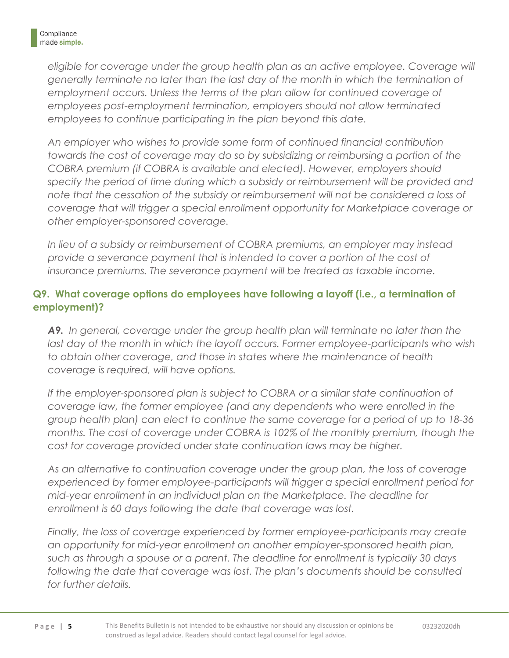*eligible for coverage under the group health plan as an active employee. Coverage will generally terminate no later than the last day of the month in which the termination of*  employment occurs. Unless the terms of the plan allow for continued coverage of *employees post-employment termination, employers should not allow terminated employees to continue participating in the plan beyond this date.* 

*An employer who wishes to provide some form of continued financial contribution towards the cost of coverage may do so by subsidizing or reimbursing a portion of the COBRA premium (if COBRA is available and elected). However, employers should specify the period of time during which a subsidy or reimbursement will be provided and note that the cessation of the subsidy or reimbursement will not be considered a loss of coverage that will trigger a special enrollment opportunity for Marketplace coverage or other employer-sponsored coverage.* 

*In lieu of a subsidy or reimbursement of COBRA premiums, an employer may instead*  provide a severance payment that is intended to cover a portion of the cost of *insurance premiums. The severance payment will be treated as taxable income.*

#### **Q9. What coverage options do employees have following a layoff (i.e., a termination of employment)?**

*A9. In general, coverage under the group health plan will terminate no later than the*  last day of the month in which the layoff occurs. Former employee-participants who wish *to obtain other coverage, and those in states where the maintenance of health coverage is required, will have options.* 

If the employer-sponsored plan is subject to COBRA or a similar state continuation of *coverage law, the former employee (and any dependents who were enrolled in the group health plan) can elect to continue the same coverage for a period of up to 18-36 months. The cost of coverage under COBRA is 102% of the monthly premium, though the cost for coverage provided under state continuation laws may be higher.* 

*As an alternative to continuation coverage under the group plan, the loss of coverage experienced by former employee-participants will trigger a special enrollment period for mid-year enrollment in an individual plan on the Marketplace. The deadline for enrollment is 60 days following the date that coverage was lost.*

*Finally, the loss of coverage experienced by former employee-participants may create an opportunity for mid-year enrollment on another employer-sponsored health plan, such as through a spouse or a parent. The deadline for enrollment is typically 30 days*  following the date that coverage was lost. The plan's documents should be consulted *for further details.*